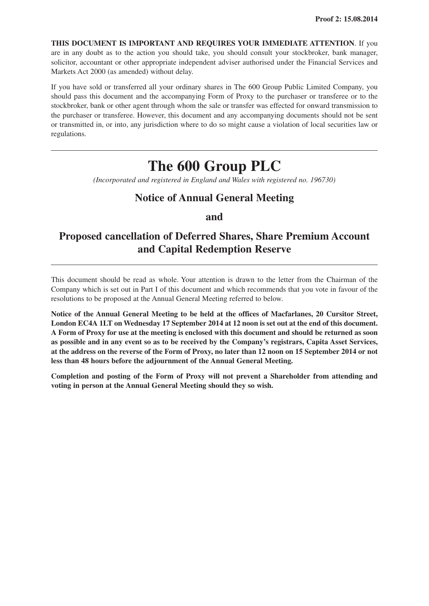**THIS DOCUMENT IS IMPORTANT AND REQUIRES YOUR IMMEDIATE ATTENTION**. If you are in any doubt as to the action you should take, you should consult your stockbroker, bank manager, solicitor, accountant or other appropriate independent adviser authorised under the Financial Services and Markets Act 2000 (as amended) without delay.

If you have sold or transferred all your ordinary shares in The 600 Group Public Limited Company, you should pass this document and the accompanying Form of Proxy to the purchaser or transferee or to the stockbroker, bank or other agent through whom the sale or transfer was effected for onward transmission to the purchaser or transferee. However, this document and any accompanying documents should not be sent or transmitted in, or into, any jurisdiction where to do so might cause a violation of local securities law or regulations.

# **The 600 Group PLC**

*(Incorporated and registered in England and Wales with registered no. 196730)*

## **Notice of Annual General Meeting**

## **and**

## **Proposed cancellation of Deferred Shares, Share Premium Account and Capital Redemption Reserve**

This document should be read as whole. Your attention is drawn to the letter from the Chairman of the Company which is set out in Part I of this document and which recommends that you vote in favour of the resolutions to be proposed at the Annual General Meeting referred to below.

**Notice of the Annual General Meeting to be held at the offices of Macfarlanes, 20 Cursitor Street,** London EC4A 1LT on Wednesday 17 September 2014 at 12 noon is set out at the end of this document. A Form of Proxy for use at the meeting is enclosed with this document and should be returned as soon as possible and in any event so as to be received by the Company's registrars, Capita Asset Services, at the address on the reverse of the Form of Proxy, no later than 12 noon on 15 September 2014 or not **less than 48 hours before the adjournment of the Annual General Meeting.**

**Completion and posting of the Form of Proxy will not prevent a Shareholder from attending and voting in person at the Annual General Meeting should they so wish.**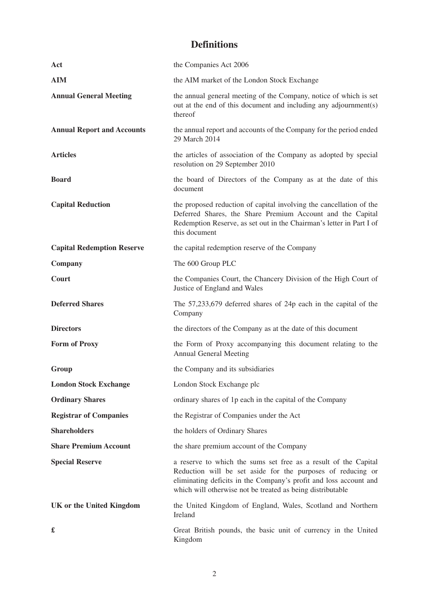# **Definitions**

| Act                               | the Companies Act 2006                                                                                                                                                                                                                                            |
|-----------------------------------|-------------------------------------------------------------------------------------------------------------------------------------------------------------------------------------------------------------------------------------------------------------------|
| <b>AIM</b>                        | the AIM market of the London Stock Exchange                                                                                                                                                                                                                       |
| <b>Annual General Meeting</b>     | the annual general meeting of the Company, notice of which is set<br>out at the end of this document and including any adjournment(s)<br>thereof                                                                                                                  |
| <b>Annual Report and Accounts</b> | the annual report and accounts of the Company for the period ended<br>29 March 2014                                                                                                                                                                               |
| <b>Articles</b>                   | the articles of association of the Company as adopted by special<br>resolution on 29 September 2010                                                                                                                                                               |
| <b>Board</b>                      | the board of Directors of the Company as at the date of this<br>document                                                                                                                                                                                          |
| <b>Capital Reduction</b>          | the proposed reduction of capital involving the cancellation of the<br>Deferred Shares, the Share Premium Account and the Capital<br>Redemption Reserve, as set out in the Chairman's letter in Part I of<br>this document                                        |
| <b>Capital Redemption Reserve</b> | the capital redemption reserve of the Company                                                                                                                                                                                                                     |
| Company                           | The 600 Group PLC                                                                                                                                                                                                                                                 |
| Court                             | the Companies Court, the Chancery Division of the High Court of<br>Justice of England and Wales                                                                                                                                                                   |
| <b>Deferred Shares</b>            | The $57,233,679$ deferred shares of 24p each in the capital of the<br>Company                                                                                                                                                                                     |
| <b>Directors</b>                  | the directors of the Company as at the date of this document                                                                                                                                                                                                      |
| <b>Form of Proxy</b>              | the Form of Proxy accompanying this document relating to the<br><b>Annual General Meeting</b>                                                                                                                                                                     |
| Group                             | the Company and its subsidiaries                                                                                                                                                                                                                                  |
| <b>London Stock Exchange</b>      | London Stock Exchange plc                                                                                                                                                                                                                                         |
| <b>Ordinary Shares</b>            | ordinary shares of 1p each in the capital of the Company                                                                                                                                                                                                          |
| <b>Registrar of Companies</b>     | the Registrar of Companies under the Act                                                                                                                                                                                                                          |
| <b>Shareholders</b>               | the holders of Ordinary Shares                                                                                                                                                                                                                                    |
| <b>Share Premium Account</b>      | the share premium account of the Company                                                                                                                                                                                                                          |
| <b>Special Reserve</b>            | a reserve to which the sums set free as a result of the Capital<br>Reduction will be set aside for the purposes of reducing or<br>eliminating deficits in the Company's profit and loss account and<br>which will otherwise not be treated as being distributable |
| UK or the United Kingdom          | the United Kingdom of England, Wales, Scotland and Northern<br>Ireland                                                                                                                                                                                            |
| £                                 | Great British pounds, the basic unit of currency in the United<br>Kingdom                                                                                                                                                                                         |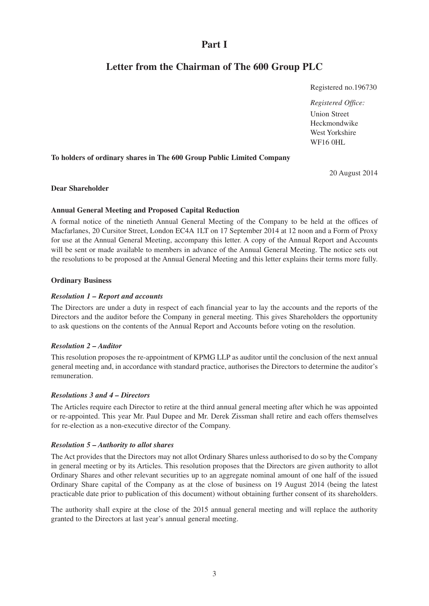## **Part I**

## **Letter from the Chairman of The 600 Group PLC**

Registered no.196730

*Registered Office:* Union Street Heckmondwike West Yorkshire WF16 0HL

#### **To holders of ordinary shares in The 600 Group Public Limited Company**

20 August 2014

#### **Dear Shareholder**

#### **Annual General Meeting and Proposed Capital Reduction**

A formal notice of the ninetieth Annual General Meeting of the Company to be held at the offices of Macfarlanes, 20 Cursitor Street, London EC4A 1LT on 17 September 2014 at 12 noon and a Form of Proxy for use at the Annual General Meeting, accompany this letter. A copy of the Annual Report and Accounts will be sent or made available to members in advance of the Annual General Meeting. The notice sets out the resolutions to be proposed at the Annual General Meeting and this letter explains their terms more fully.

#### **Ordinary Business**

#### *Resolution 1 – Report and accounts*

The Directors are under a duty in respect of each financial year to lay the accounts and the reports of the Directors and the auditor before the Company in general meeting. This gives Shareholders the opportunity to ask questions on the contents of the Annual Report and Accounts before voting on the resolution.

#### *Resolution 2 – Auditor*

This resolution proposes the re-appointment of KPMG LLP as auditor until the conclusion of the next annual general meeting and, in accordance with standard practice, authorises the Directors to determine the auditor's remuneration.

#### *Resolutions 3 and 4 – Directors*

The Articles require each Director to retire at the third annual general meeting after which he was appointed or re-appointed. This year Mr. Paul Dupee and Mr. Derek Zissman shall retire and each offers themselves for re-election as a non-executive director of the Company.

#### *Resolution 5 – Authority to allot shares*

The Act provides that the Directors may not allot Ordinary Shares unless authorised to do so by the Company in general meeting or by its Articles. This resolution proposes that the Directors are given authority to allot Ordinary Shares and other relevant securities up to an aggregate nominal amount of one half of the issued Ordinary Share capital of the Company as at the close of business on 19 August 2014 (being the latest practicable date prior to publication of this document) without obtaining further consent of its shareholders.

The authority shall expire at the close of the 2015 annual general meeting and will replace the authority granted to the Directors at last year's annual general meeting.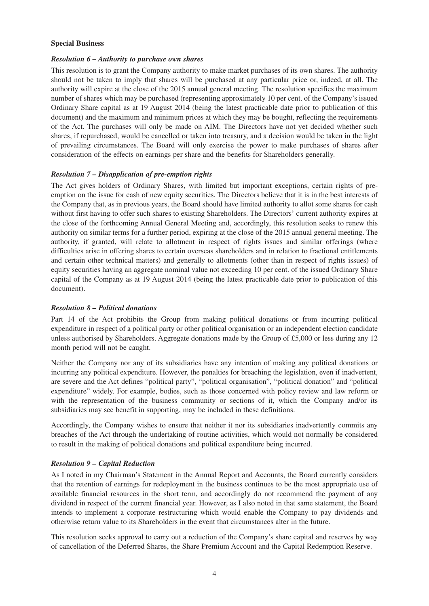#### **Special Business**

#### *Resolution 6 – Authority to purchase own shares*

This resolution is to grant the Company authority to make market purchases of its own shares. The authority should not be taken to imply that shares will be purchased at any particular price or, indeed, at all. The authority will expire at the close of the 2015 annual general meeting. The resolution specifies the maximum number of shares which may be purchased (representing approximately 10 per cent. of the Company's issued Ordinary Share capital as at 19 August 2014 (being the latest practicable date prior to publication of this document) and the maximum and minimum prices at which they may be bought, reflecting the requirements of the Act. The purchases will only be made on AIM. The Directors have not yet decided whether such shares, if repurchased, would be cancelled or taken into treasury, and a decision would be taken in the light of prevailing circumstances. The Board will only exercise the power to make purchases of shares after consideration of the effects on earnings per share and the benefits for Shareholders generally.

#### *Resolution 7 – Disapplication of pre-emption rights*

The Act gives holders of Ordinary Shares, with limited but important exceptions, certain rights of preemption on the issue for cash of new equity securities. The Directors believe that it is in the best interests of the Company that, as in previous years, the Board should have limited authority to allot some shares for cash without first having to offer such shares to existing Shareholders. The Directors' current authority expires at the close of the forthcoming Annual General Meeting and, accordingly, this resolution seeks to renew this authority on similar terms for a further period, expiring at the close of the 2015 annual general meeting. The authority, if granted, will relate to allotment in respect of rights issues and similar offerings (where difficulties arise in offering shares to certain overseas shareholders and in relation to fractional entitlements and certain other technical matters) and generally to allotments (other than in respect of rights issues) of equity securities having an aggregate nominal value not exceeding 10 per cent. of the issued Ordinary Share capital of the Company as at 19 August 2014 (being the latest practicable date prior to publication of this document).

#### *Resolution 8 – Political donations*

Part 14 of the Act prohibits the Group from making political donations or from incurring political expenditure in respect of a political party or other political organisation or an independent election candidate unless authorised by Shareholders. Aggregate donations made by the Group of £5,000 or less during any 12 month period will not be caught.

Neither the Company nor any of its subsidiaries have any intention of making any political donations or incurring any political expenditure. However, the penalties for breaching the legislation, even if inadvertent, are severe and the Act defines "political party", "political organisation", "political donation" and "political expenditure" widely. For example, bodies, such as those concerned with policy review and law reform or with the representation of the business community or sections of it, which the Company and/or its subsidiaries may see benefit in supporting, may be included in these definitions.

Accordingly, the Company wishes to ensure that neither it nor its subsidiaries inadvertently commits any breaches of the Act through the undertaking of routine activities, which would not normally be considered to result in the making of political donations and political expenditure being incurred.

#### *Resolution 9 – Capital Reduction*

As I noted in my Chairman's Statement in the Annual Report and Accounts, the Board currently considers that the retention of earnings for redeployment in the business continues to be the most appropriate use of available financial resources in the short term, and accordingly do not recommend the payment of any dividend in respect of the current financial year. However, as I also noted in that same statement, the Board intends to implement a corporate restructuring which would enable the Company to pay dividends and otherwise return value to its Shareholders in the event that circumstances alter in the future.

This resolution seeks approval to carry out a reduction of the Company's share capital and reserves by way of cancellation of the Deferred Shares, the Share Premium Account and the Capital Redemption Reserve.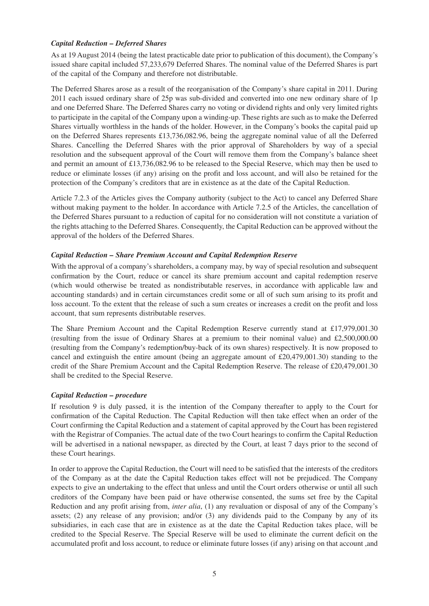#### *Capital Reduction – Deferred Shares*

As at 19 August 2014 (being the latest practicable date prior to publication of this document), the Company's issued share capital included 57,233,679 Deferred Shares. The nominal value of the Deferred Shares is part of the capital of the Company and therefore not distributable.

The Deferred Shares arose as a result of the reorganisation of the Company's share capital in 2011. During 2011 each issued ordinary share of 25p was sub-divided and converted into one new ordinary share of 1p and one Deferred Share. The Deferred Shares carry no voting or dividend rights and only very limited rights to participate in the capital of the Company upon a winding-up. These rights are such as to make the Deferred Shares virtually worthless in the hands of the holder. However, in the Company's books the capital paid up on the Deferred Shares represents £13,736,082.96, being the aggregate nominal value of all the Deferred Shares. Cancelling the Deferred Shares with the prior approval of Shareholders by way of a special resolution and the subsequent approval of the Court will remove them from the Company's balance sheet and permit an amount of £13,736,082.96 to be released to the Special Reserve, which may then be used to reduce or eliminate losses (if any) arising on the profit and loss account, and will also be retained for the protection of the Company's creditors that are in existence as at the date of the Capital Reduction.

Article 7.2.3 of the Articles gives the Company authority (subject to the Act) to cancel any Deferred Share without making payment to the holder. In accordance with Article 7.2.5 of the Articles, the cancellation of the Deferred Shares pursuant to a reduction of capital for no consideration will not constitute a variation of the rights attaching to the Deferred Shares. Consequently, the Capital Reduction can be approved without the approval of the holders of the Deferred Shares.

#### *Capital Reduction – Share Premium Account and Capital Redemption Reserve*

With the approval of a company's shareholders, a company may, by way of special resolution and subsequent confirmation by the Court, reduce or cancel its share premium account and capital redemption reserve (which would otherwise be treated as nondistributable reserves, in accordance with applicable law and accounting standards) and in certain circumstances credit some or all of such sum arising to its profit and loss account. To the extent that the release of such a sum creates or increases a credit on the profit and loss account, that sum represents distributable reserves.

The Share Premium Account and the Capital Redemption Reserve currently stand at £17,979,001.30 (resulting from the issue of Ordinary Shares at a premium to their nominal value) and £2,500,000.00 (resulting from the Company's redemption/buy-back of its own shares) respectively. It is now proposed to cancel and extinguish the entire amount (being an aggregate amount of £20,479,001.30) standing to the credit of the Share Premium Account and the Capital Redemption Reserve. The release of £20,479,001.30 shall be credited to the Special Reserve.

#### *Capital Reduction – procedure*

If resolution 9 is duly passed, it is the intention of the Company thereafter to apply to the Court for confirmation of the Capital Reduction. The Capital Reduction will then take effect when an order of the Court confirming the Capital Reduction and a statement of capital approved by the Court has been registered with the Registrar of Companies. The actual date of the two Court hearings to confirm the Capital Reduction will be advertised in a national newspaper, as directed by the Court, at least 7 days prior to the second of these Court hearings.

In order to approve the Capital Reduction, the Court will need to be satisfied that the interests of the creditors of the Company as at the date the Capital Reduction takes effect will not be prejudiced. The Company expects to give an undertaking to the effect that unless and until the Court orders otherwise or until all such creditors of the Company have been paid or have otherwise consented, the sums set free by the Capital Reduction and any profit arising from, *inter alia*, (1) any revaluation or disposal of any of the Company's assets; (2) any release of any provision; and/or (3) any dividends paid to the Company by any of its subsidiaries, in each case that are in existence as at the date the Capital Reduction takes place, will be credited to the Special Reserve. The Special Reserve will be used to eliminate the current deficit on the accumulated profit and loss account, to reduce or eliminate future losses (if any) arising on that account ,and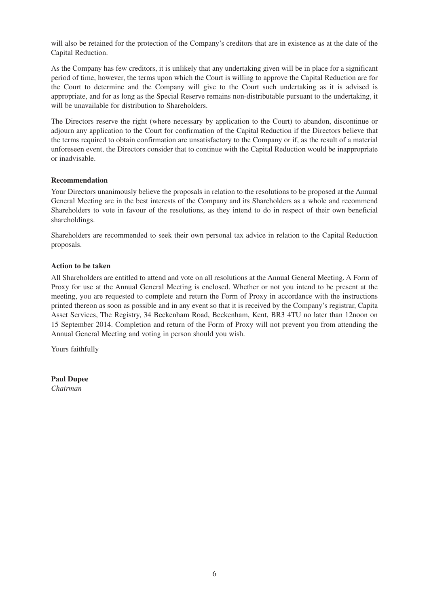will also be retained for the protection of the Company's creditors that are in existence as at the date of the Capital Reduction.

As the Company has few creditors, it is unlikely that any undertaking given will be in place for a significant period of time, however, the terms upon which the Court is willing to approve the Capital Reduction are for the Court to determine and the Company will give to the Court such undertaking as it is advised is appropriate, and for as long as the Special Reserve remains non-distributable pursuant to the undertaking, it will be unavailable for distribution to Shareholders.

The Directors reserve the right (where necessary by application to the Court) to abandon, discontinue or adjourn any application to the Court for confirmation of the Capital Reduction if the Directors believe that the terms required to obtain confirmation are unsatisfactory to the Company or if, as the result of a material unforeseen event, the Directors consider that to continue with the Capital Reduction would be inappropriate or inadvisable.

#### **Recommendation**

Your Directors unanimously believe the proposals in relation to the resolutions to be proposed at the Annual General Meeting are in the best interests of the Company and its Shareholders as a whole and recommend Shareholders to vote in favour of the resolutions, as they intend to do in respect of their own beneficial shareholdings.

Shareholders are recommended to seek their own personal tax advice in relation to the Capital Reduction proposals.

#### **Action to be taken**

All Shareholders are entitled to attend and vote on all resolutions at the Annual General Meeting. A Form of Proxy for use at the Annual General Meeting is enclosed. Whether or not you intend to be present at the meeting, you are requested to complete and return the Form of Proxy in accordance with the instructions printed thereon as soon as possible and in any event so that it is received by the Company's registrar, Capita Asset Services, The Registry, 34 Beckenham Road, Beckenham, Kent, BR3 4TU no later than 12noon on 15 September 2014. Completion and return of the Form of Proxy will not prevent you from attending the Annual General Meeting and voting in person should you wish.

Yours faithfully

**Paul Dupee** *Chairman*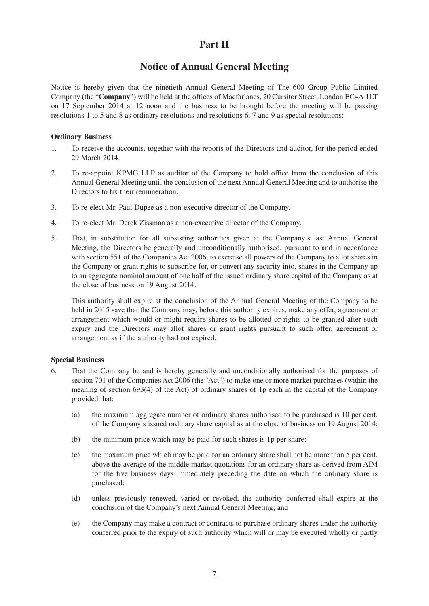## **Part II**

## **Notice of Annual General Meeting**

Notice is hereby given that the ninetieth Annual General Meeting of The 600 Group Public Limited Company (the "**Company**") will be held at the offices of Macfarlanes, 20 Cursitor Street, London EC4A 1LT on 17 September 2014 at 12 noon and the business to be brought before the meeting will be passing resolutions 1 to 5 and 8 as ordinary resolutions and resolutions 6, 7 and 9 as special resolutions:

#### **Ordinary Business**

- 1. To receive the accounts, together with the reports of the Directors and auditor, for the period ended 29 March 2014.
- 2. To re-appoint KPMG LLP as auditor of the Company to hold office from the conclusion of this Annual General Meeting until the conclusion of the next Annual General Meeting and to authorise the Directors to fix their remuneration.
- 3. To re-elect Mr. Paul Dupee as a non-executive director of the Company.
- 4. To re-elect Mr. Derek Zissman as a non-executive director of the Company.
- 5. That, in substitution for all subsisting authorities given at the Company's last Annual General Meeting, the Directors be generally and unconditionally authorised, pursuant to and in accordance with section 551 of the Companies Act 2006, to exercise all powers of the Company to allot shares in the Company or grant rights to subscribe for, or convert any security into, shares in the Company up to an aggregate nominal amount of one half of the issued ordinary share capital of the Company as at the close of business on 19 August 2014.

This authority shall expire at the conclusion of the Annual General Meeting of the Company to be held in 2015 save that the Company may, before this authority expires, make any offer, agreement or arrangement which would or might require shares to be allotted or rights to be granted after such expiry and the Directors may allot shares or grant rights pursuant to such offer, agreement or arrangement as if the authority had not expired.

#### **Special Business**

- 6. That the Company be and is hereby generally and unconditionally authorised for the purposes of section 701 of the Companies Act 2006 (the "Act") to make one or more market purchases (within the meaning of section 693(4) of the Act) of ordinary shares of 1p each in the capital of the Company provided that:
	- (a) the maximum aggregate number of ordinary shares authorised to be purchased is 10 per cent. of the Company's issued ordinary share capital as at the close of business on 19 August 2014;
	- (b) the minimum price which may be paid for such shares is 1p per share;
	- (c) the maximum price which may be paid for an ordinary share shall not be more than 5 per cent. above the average of the middle market quotations for an ordinary share as derived from AIM for the five business days immediately preceding the date on which the ordinary share is purchased;
	- (d) unless previously renewed, varied or revoked, the authority conferred shall expire at the conclusion of the Company's next Annual General Meeting; and
	- (e) the Company may make a contract or contracts to purchase ordinary shares under the authority conferred prior to the expiry of such authority which will or may be executed wholly or partly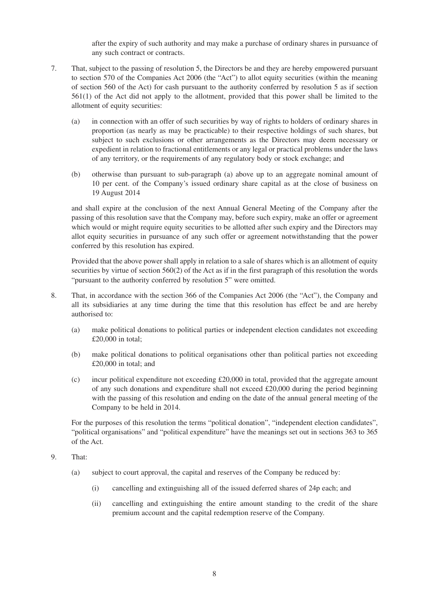after the expiry of such authority and may make a purchase of ordinary shares in pursuance of any such contract or contracts.

- 7. That, subject to the passing of resolution 5, the Directors be and they are hereby empowered pursuant to section 570 of the Companies Act 2006 (the "Act") to allot equity securities (within the meaning of section 560 of the Act) for cash pursuant to the authority conferred by resolution 5 as if section 561(1) of the Act did not apply to the allotment, provided that this power shall be limited to the allotment of equity securities:
	- (a) in connection with an offer of such securities by way of rights to holders of ordinary shares in proportion (as nearly as may be practicable) to their respective holdings of such shares, but subject to such exclusions or other arrangements as the Directors may deem necessary or expedient in relation to fractional entitlements or any legal or practical problems under the laws of any territory, or the requirements of any regulatory body or stock exchange; and
	- (b) otherwise than pursuant to sub-paragraph (a) above up to an aggregate nominal amount of 10 per cent. of the Company's issued ordinary share capital as at the close of business on 19 August 2014

and shall expire at the conclusion of the next Annual General Meeting of the Company after the passing of this resolution save that the Company may, before such expiry, make an offer or agreement which would or might require equity securities to be allotted after such expiry and the Directors may allot equity securities in pursuance of any such offer or agreement notwithstanding that the power conferred by this resolution has expired.

Provided that the above power shall apply in relation to a sale of shares which is an allotment of equity securities by virtue of section 560(2) of the Act as if in the first paragraph of this resolution the words "pursuant to the authority conferred by resolution 5" were omitted.

- 8. That, in accordance with the section 366 of the Companies Act 2006 (the "Act"), the Company and all its subsidiaries at any time during the time that this resolution has effect be and are hereby authorised to:
	- (a) make political donations to political parties or independent election candidates not exceeding £20,000 in total;
	- (b) make political donations to political organisations other than political parties not exceeding £20,000 in total; and
	- (c) incur political expenditure not exceeding £20,000 in total, provided that the aggregate amount of any such donations and expenditure shall not exceed £20,000 during the period beginning with the passing of this resolution and ending on the date of the annual general meeting of the Company to be held in 2014.

For the purposes of this resolution the terms "political donation", "independent election candidates", "political organisations" and "political expenditure" have the meanings set out in sections 363 to 365 of the Act.

- 9. That:
	- (a) subject to court approval, the capital and reserves of the Company be reduced by:
		- (i) cancelling and extinguishing all of the issued deferred shares of 24p each; and
		- (ii) cancelling and extinguishing the entire amount standing to the credit of the share premium account and the capital redemption reserve of the Company.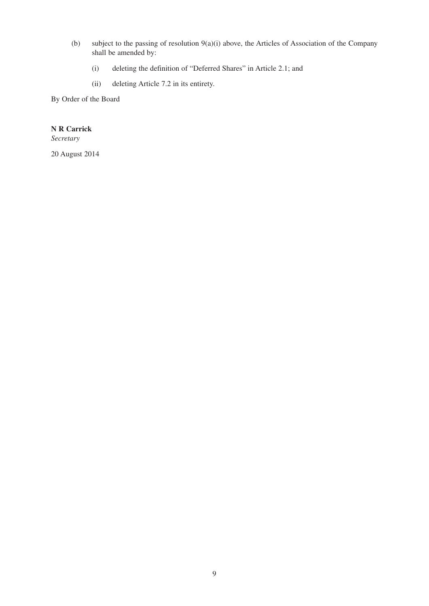- (b) subject to the passing of resolution 9(a)(i) above, the Articles of Association of the Company shall be amended by:
	- (i) deleting the definition of "Deferred Shares" in Article 2.1; and
	- (ii) deleting Article 7.2 in its entirety.

By Order of the Board

### **N R Carrick**

*Secretary*

20 August 2014